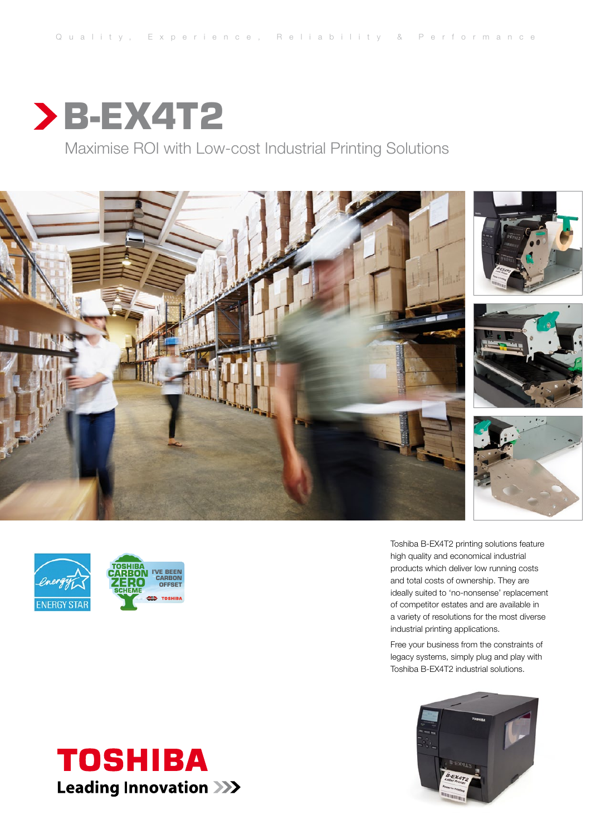

Maximise ROI with Low-cost Industrial Printing Solutions







Toshiba B-EX4T2 printing solutions feature high quality and economical industrial products which deliver low running costs and total costs of ownership. They are ideally suited to 'no-nonsense' replacement of competitor estates and are available in a variety of resolutions for the most diverse industrial printing applications.

Free your business from the constraints of legacy systems, simply plug and play with Toshiba B-EX4T2 industrial solutions.